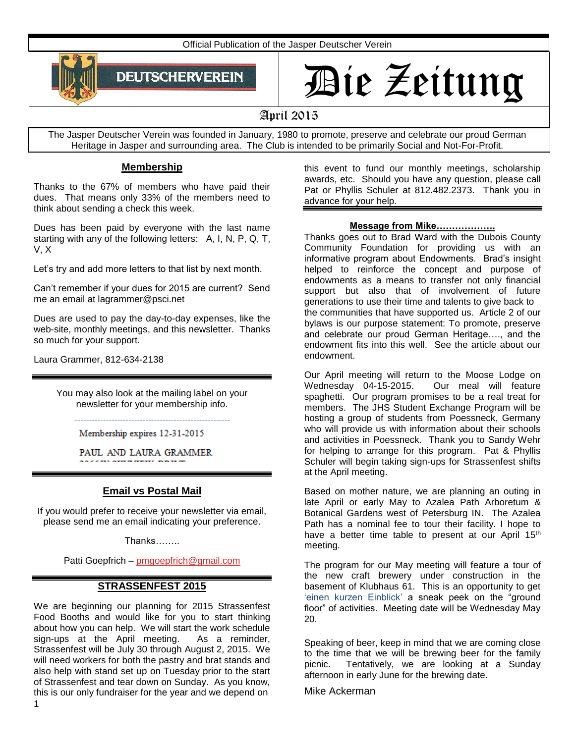Official Publication of the Jasper Deutscher Verein



# Die Zeitung

# April 2015

The Jasper Deutscher Verein was founded in January, 1980 to promote, preserve and celebrate our proud German Heritage in Jasper and surrounding area. The Club is intended to be primarily Social and Not-For-Profit.

## **Membership**

Thanks to the 67% of members who have paid their dues. That means only 33% of the members need to think about sending a check this week.

Dues has been paid by everyone with the last name starting with any of the following letters: A, I, N, P, Q, T, V, X

Let's try and add more letters to that list by next month.

Can't remember if your dues for 2015 are current? Send me an email at lagrammer@psci.net

Dues are used to pay the day-to-day expenses, like the web-site, monthly meetings, and this newsletter. Thanks so much for your support.

Laura Grammer, 812-634-2138

You may also look at the mailing label on your newsletter for your membership info.

Membership expires 12-31-2015

PAUL AND LAURA GRAMMER

### **Email vs Postal Mail**

If you would prefer to receive your newsletter via email, please send me an email indicating your preference.

Thanks……..

Patti Goepfrich – [pmgoepfrich@gmail.com](mailto:pmgoepfrich@gmail.com)

### **STRASSENFEST 2015**

We are beginning our planning for 2015 Strassenfest Food Booths and would like for you to start thinking about how you can help. We will start the work schedule sign-ups at the April meeting. As a reminder, Strassenfest will be July 30 through August 2, 2015. We will need workers for both the pastry and brat stands and also help with stand set up on Tuesday prior to the start of Strassenfest and tear down on Sunday. As you know, this is our only fundraiser for the year and we depend on

this event to fund our monthly meetings, scholarship awards, etc. Should you have any question, please call Pat or Phyllis Schuler at 812.482.2373. Thank you in advance for your help.

#### **Message from Mike……………….**

Thanks goes out to Brad Ward with the Dubois County Community Foundation for providing us with an informative program about Endowments. Brad's insight helped to reinforce the concept and purpose of endowments as a means to transfer not only financial support but also that of involvement of future generations to use their time and talents to give back to the communities that have supported us. Article 2 of our bylaws is our purpose statement: To promote, preserve and celebrate our proud German Heritage…., and the endowment fits into this well. See the article about our endowment.

Our April meeting will return to the Moose Lodge on Wednesday 04-15-2015. Our meal will feature spaghetti. Our program promises to be a real treat for members. The JHS Student Exchange Program will be hosting a group of students from Poessneck, Germany who will provide us with information about their schools and activities in Poessneck. Thank you to Sandy Wehr for helping to arrange for this program. Pat & Phyllis Schuler will begin taking sign-ups for Strassenfest shifts at the April meeting.

Based on mother nature, we are planning an outing in late April or early May to Azalea Path Arboretum & Botanical Gardens west of Petersburg IN. The Azalea Path has a nominal fee to tour their facility. I hope to have a better time table to present at our April 15<sup>th</sup> meeting.

The program for our May meeting will feature a tour of the new craft brewery under construction in the basement of Klubhaus 61. This is an opportunity to get 'einen kurzen Einblick' a sneak peek on the "ground floor" of activities. Meeting date will be Wednesday May 20.

Speaking of beer, keep in mind that we are coming close to the time that we will be brewing beer for the family picnic. Tentatively, we are looking at a Sunday afternoon in early June for the brewing date.

Mike Ackerman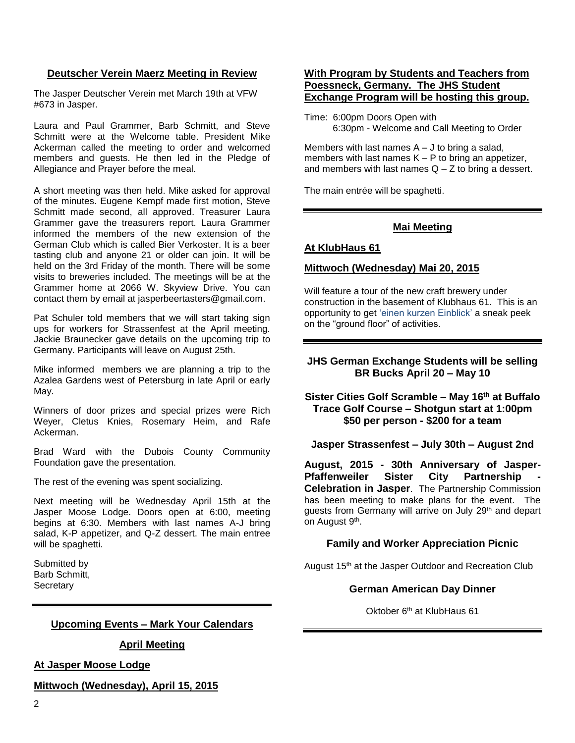#### **Deutscher Verein Maerz Meeting in Review**

The Jasper Deutscher Verein met March 19th at VFW #673 in Jasper.

Laura and Paul Grammer, Barb Schmitt, and Steve Schmitt were at the Welcome table. President Mike Ackerman called the meeting to order and welcomed members and guests. He then led in the Pledge of Allegiance and Prayer before the meal.

A short meeting was then held. Mike asked for approval of the minutes. Eugene Kempf made first motion, Steve Schmitt made second, all approved. Treasurer Laura Grammer gave the treasurers report. Laura Grammer informed the members of the new extension of the German Club which is called Bier Verkoster. It is a beer tasting club and anyone 21 or older can join. It will be held on the 3rd Friday of the month. There will be some visits to breweries included. The meetings will be at the Grammer home at 2066 W. Skyview Drive. You can contact them by email at jasperbeertasters@gmail.com.

Pat Schuler told members that we will start taking sign ups for workers for Strassenfest at the April meeting. Jackie Braunecker gave details on the upcoming trip to Germany. Participants will leave on August 25th.

Mike informed members we are planning a trip to the Azalea Gardens west of Petersburg in late April or early May.

Winners of door prizes and special prizes were Rich Weyer, Cletus Knies, Rosemary Heim, and Rafe Ackerman.

Brad Ward with the Dubois County Community Foundation gave the presentation.

The rest of the evening was spent socializing.

Next meeting will be Wednesday April 15th at the Jasper Moose Lodge. Doors open at 6:00, meeting begins at 6:30. Members with last names A-J bring salad, K-P appetizer, and Q-Z dessert. The main entree will be spaghetti.

Submitted by Barb Schmitt, **Secretary** 

### **Upcoming Events – Mark Your Calendars**

#### **April Meeting**

#### **At Jasper Moose Lodge**

#### **Mittwoch (Wednesday), April 15, 2015**

#### **With Program by Students and Teachers from Poessneck, Germany. The JHS Student Exchange Program will be hosting this group.**

Time: 6:00pm Doors Open with 6:30pm - Welcome and Call Meeting to Order

Members with last names  $A - J$  to bring a salad, members with last names  $K - P$  to bring an appetizer, and members with last names  $Q - Z$  to bring a dessert.

The main entrée will be spaghetti.

#### **Mai Meeting**

#### **At KlubHaus 61**

#### **Mittwoch (Wednesday) Mai 20, 2015**

Will feature a tour of the new craft brewery under construction in the basement of Klubhaus 61. This is an opportunity to get 'einen kurzen Einblick' a sneak peek on the "ground floor" of activities.

#### **JHS German Exchange Students will be selling BR Bucks April 20 – May 10**

**Sister Cities Golf Scramble – May 16th at Buffalo Trace Golf Course – Shotgun start at 1:00pm \$50 per person - \$200 for a team**

**Jasper Strassenfest – July 30th – August 2nd**

**August, 2015 - 30th Anniversary of Jasper-Pfaffenweiler Sister City Partnership - Celebration in Jasper**. The Partnership Commission has been meeting to make plans for the event. The guests from Germany will arrive on July 29<sup>th</sup> and depart on August 9<sup>th</sup>.

#### **Family and Worker Appreciation Picnic**

August 15<sup>th</sup> at the Jasper Outdoor and Recreation Club

#### **German American Day Dinner**

Oktober 6th at KlubHaus 61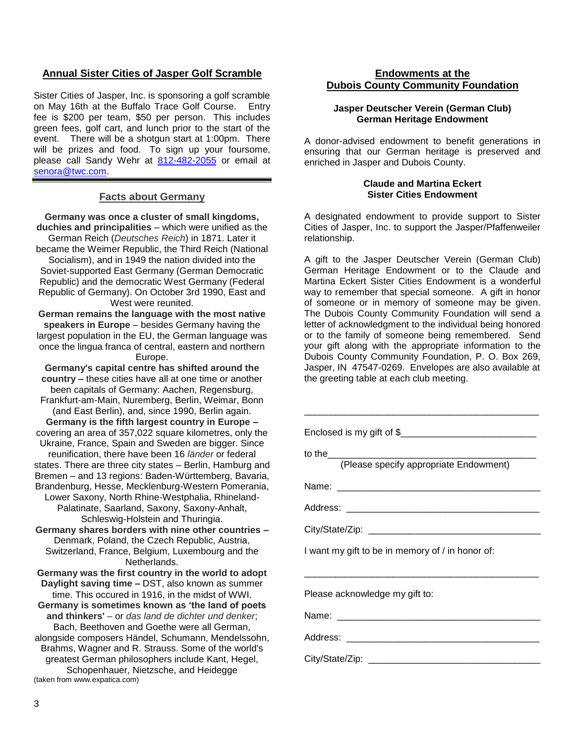#### **Annual Sister Cities of Jasper Golf Scramble**

Sister Cities of Jasper, Inc. is sponsoring a golf scramble on May 16th at the Buffalo Trace Golf Course. Entry fee is \$200 per team, \$50 per person. This includes green fees, golf cart, and lunch prior to the start of the event. There will be a shotgun start at 1:00pm. There will be prizes and food. To sign up your foursome, please call Sandy Wehr at [812-482-2055](tel:812-482-2055) or email at [senora@twc.com.](mailto:senora@twc.com)

#### **Facts about Germany**

**Germany was once a cluster of small kingdoms, duchies and principalities** – which were unified as the German Reich (*Deutsches Reich*) in 1871. Later it became the Weimer Republic, the Third Reich (National Socialism), and in 1949 the nation divided into the Soviet-supported East Germany (German Democratic Republic) and the democratic West Germany (Federal Republic of Germany). On October 3rd 1990, East and West were reunited.

**German remains the language with the most native speakers in Europe** – besides Germany having the largest population in the EU, the German language was once the lingua franca of central, eastern and northern Europe.

**Germany's capital centre has shifted around the country –** these cities have all at one time or another been capitals of Germany: Aachen, Regensburg, Frankfurt-am-Main, Nuremberg, Berlin, Weimar, Bonn (and East Berlin), and, since 1990, Berlin again. **Germany is the fifth largest country in Europe –** covering an area of 357,022 square kilometres, only the Ukraine, France, Spain and Sweden are bigger. Since reunification, there have been 16 *länder* or federal states. There are three city states – Berlin, Hamburg and Bremen – and 13 regions: Baden-Württemberg, Bavaria, Brandenburg, Hesse, Mecklenburg-Western Pomerania, Lower Saxony, North Rhine-Westphalia, Rhineland-Palatinate, Saarland, Saxony, Saxony-Anhalt, Schleswig-Holstein and Thuringia.

**Germany shares borders with nine other countries –** Denmark, Poland, the Czech Republic, Austria, Switzerland, France, Belgium, Luxembourg and the Netherlands.

**Germany was the first country in the world to adopt Daylight saving time –** DST, also known as summer time. This occured in 1916, in the midst of WWI. **Germany is sometimes known as 'the land of poets and thinkers'** *–* or *das land de dichter und denker*; Bach, Beethoven and Goethe were all German,

alongside composers Händel, Schumann, Mendelssohn, Brahms, Wagner and R. Strauss. Some of the world's greatest German philosophers include Kant, Hegel, Schopenhauer, Nietzsche, and Heidegge (taken from www.expatica.com)

#### **Endowments at the Dubois County Community Foundation**

#### **Jasper Deutscher Verein (German Club) German Heritage Endowment**

A donor-advised endowment to benefit generations in ensuring that our German heritage is preserved and enriched in Jasper and Dubois County.

#### **Claude and Martina Eckert Sister Cities Endowment**

A designated endowment to provide support to Sister Cities of Jasper, Inc. to support the Jasper/Pfaffenweiler relationship.

A gift to the Jasper Deutscher Verein (German Club) German Heritage Endowment or to the Claude and Martina Eckert Sister Cities Endowment is a wonderful way to remember that special someone. A gift in honor of someone or in memory of someone may be given. The Dubois County Community Foundation will send a letter of acknowledgment to the individual being honored or to the family of someone being remembered. Send your gift along with the appropriate information to the Dubois County Community Foundation, P. O. Box 269, Jasper, IN 47547-0269. Envelopes are also available at the greeting table at each club meeting.

| to the<br>(Please specify appropriate Endowment) |
|--------------------------------------------------|
|                                                  |
|                                                  |
|                                                  |
| I want my gift to be in memory of / in honor of: |
|                                                  |
| Please acknowledge my gift to:                   |
|                                                  |
|                                                  |
|                                                  |
|                                                  |
|                                                  |
|                                                  |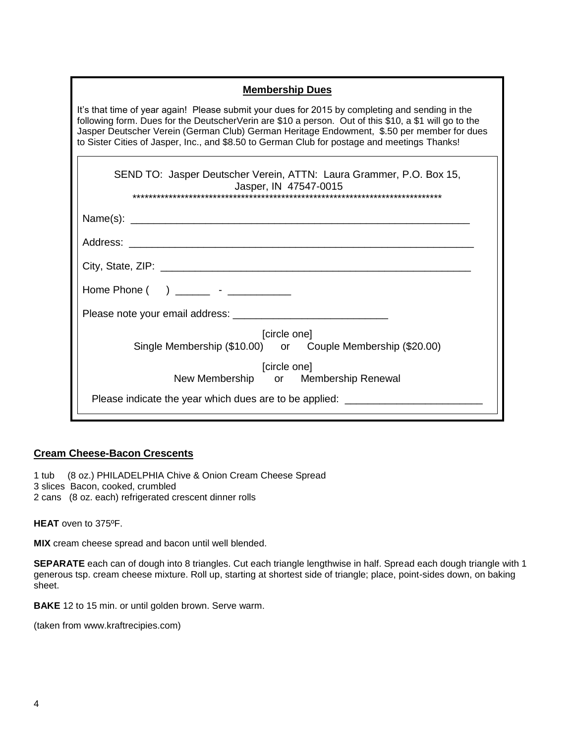| <b>Membership Dues</b>                                                                                                                                                                                                                                                                                                                                                                                 |
|--------------------------------------------------------------------------------------------------------------------------------------------------------------------------------------------------------------------------------------------------------------------------------------------------------------------------------------------------------------------------------------------------------|
| It's that time of year again! Please submit your dues for 2015 by completing and sending in the<br>following form. Dues for the DeutscherVerin are \$10 a person. Out of this \$10, a \$1 will go to the<br>Jasper Deutscher Verein (German Club) German Heritage Endowment, \$.50 per member for dues<br>to Sister Cities of Jasper, Inc., and \$8.50 to German Club for postage and meetings Thanks! |
| SEND TO: Jasper Deutscher Verein, ATTN: Laura Grammer, P.O. Box 15,<br>Jasper, IN 47547-0015                                                                                                                                                                                                                                                                                                           |
|                                                                                                                                                                                                                                                                                                                                                                                                        |
|                                                                                                                                                                                                                                                                                                                                                                                                        |
|                                                                                                                                                                                                                                                                                                                                                                                                        |
| Home Phone $( )$ $)$ $\qquad$ $\qquad$ $\qquad$ $\qquad$ $\qquad$ $\qquad$ $\qquad$ $\qquad$ $\qquad$ $\qquad$ $\qquad$ $\qquad$ $\qquad$ $\qquad$ $\qquad$ $\qquad$ $\qquad$ $\qquad$ $\qquad$ $\qquad$ $\qquad$ $\qquad$ $\qquad$ $\qquad$ $\qquad$ $\qquad$ $\qquad$ $\qquad$ $\qquad$ $\qquad$ $\qquad$ $\qquad$ $\qquad$ $\q$                                                                     |
|                                                                                                                                                                                                                                                                                                                                                                                                        |
| [circle one]<br>Single Membership (\$10.00) or Couple Membership (\$20.00)                                                                                                                                                                                                                                                                                                                             |
| [circle one]<br>New Membership or Membership Renewal                                                                                                                                                                                                                                                                                                                                                   |
| Please indicate the year which dues are to be applied: _________________________                                                                                                                                                                                                                                                                                                                       |

### **Cream Cheese-Bacon Crescents**

1 tub (8 oz.) PHILADELPHIA Chive & Onion Cream Cheese Spread

3 slices Bacon, cooked, crumbled

2 cans (8 oz. each) refrigerated crescent dinner rolls

**HEAT** oven to 375ºF.

**MIX** cream cheese spread and bacon until well blended.

**SEPARATE** each can of dough into 8 triangles. Cut each triangle lengthwise in half. Spread each dough triangle with 1 generous tsp. cream cheese mixture. Roll up, starting at shortest side of triangle; place, point-sides down, on baking sheet.

**BAKE** 12 to 15 min. or until golden brown. Serve warm.

(taken from www.kraftrecipies.com)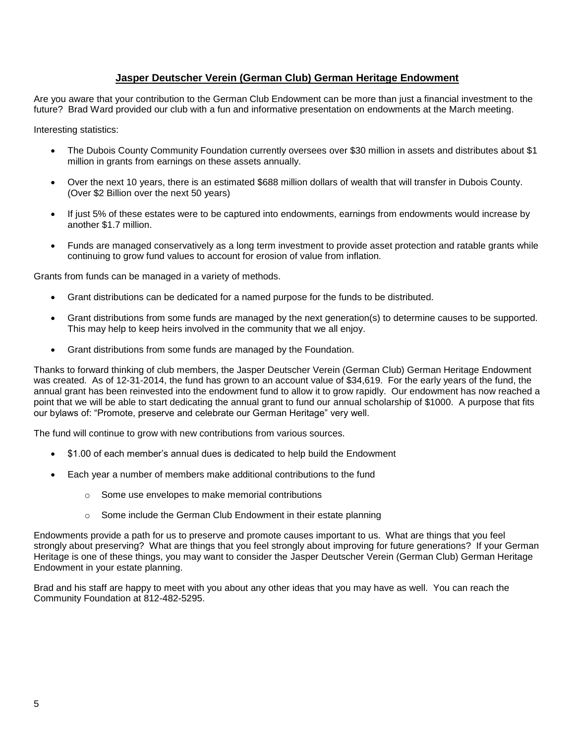#### **Jasper Deutscher Verein (German Club) German Heritage Endowment**

Are you aware that your contribution to the German Club Endowment can be more than just a financial investment to the future? Brad Ward provided our club with a fun and informative presentation on endowments at the March meeting.

Interesting statistics:

- The Dubois County Community Foundation currently oversees over \$30 million in assets and distributes about \$1 million in grants from earnings on these assets annually.
- Over the next 10 years, there is an estimated \$688 million dollars of wealth that will transfer in Dubois County. (Over \$2 Billion over the next 50 years)
- If just 5% of these estates were to be captured into endowments, earnings from endowments would increase by another \$1.7 million.
- Funds are managed conservatively as a long term investment to provide asset protection and ratable grants while continuing to grow fund values to account for erosion of value from inflation.

Grants from funds can be managed in a variety of methods.

- Grant distributions can be dedicated for a named purpose for the funds to be distributed.
- Grant distributions from some funds are managed by the next generation(s) to determine causes to be supported. This may help to keep heirs involved in the community that we all enjoy.
- Grant distributions from some funds are managed by the Foundation.

Thanks to forward thinking of club members, the Jasper Deutscher Verein (German Club) German Heritage Endowment was created. As of 12-31-2014, the fund has grown to an account value of \$34,619. For the early years of the fund, the annual grant has been reinvested into the endowment fund to allow it to grow rapidly. Our endowment has now reached a point that we will be able to start dedicating the annual grant to fund our annual scholarship of \$1000. A purpose that fits our bylaws of: "Promote, preserve and celebrate our German Heritage" very well.

The fund will continue to grow with new contributions from various sources.

- \$1.00 of each member's annual dues is dedicated to help build the Endowment
- Each year a number of members make additional contributions to the fund
	- o Some use envelopes to make memorial contributions
	- o Some include the German Club Endowment in their estate planning

Endowments provide a path for us to preserve and promote causes important to us. What are things that you feel strongly about preserving? What are things that you feel strongly about improving for future generations? If your German Heritage is one of these things, you may want to consider the Jasper Deutscher Verein (German Club) German Heritage Endowment in your estate planning.

Brad and his staff are happy to meet with you about any other ideas that you may have as well. You can reach the Community Foundation at 812-482-5295.